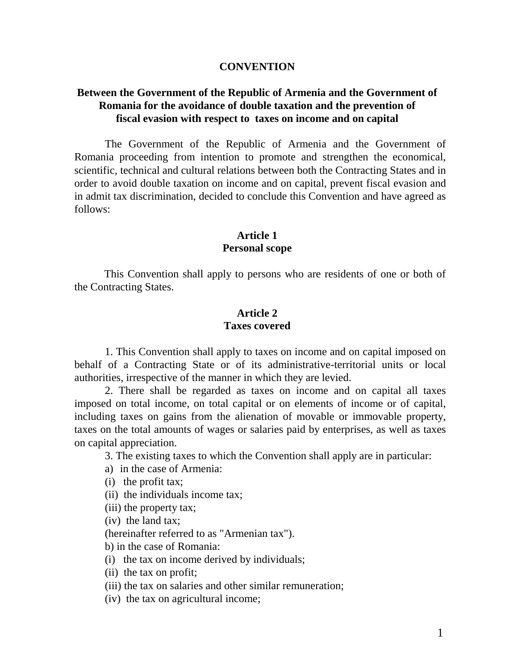#### **CONVENTION**

### **Between the Government of the Republic of Armenia and the Government of Romania for the avoidance of double taxation and the prevention of fiscal evasion with respect to taxes on income and on capital**

The Government of the Republic of Armenia and the Government of Romania proceeding from intention to promote and strengthen the economical, scientific, technical and cultural relations between both the Contracting States and in order to avoid double taxation on income and on capital, prevent fiscal evasion and in admit tax discrimination, decided to conclude this Convention and have agreed as follows:

### **Article 1 Personal scope**

This Convention shall apply to persons who are residents of one or both of the Contracting States.

#### **Article 2 Taxes covered**

1. This Convention shall apply to taxes on income and on capital imposed on behalf of a Contracting State or of its administrative-territorial units or local authorities, irrespective of the manner in which they are levied.

2. There shall be regarded as taxes on income and on capital all taxes imposed on total income, on total capital or on elements of income or of capital, including taxes on gains from the alienation of movable or immovable property, taxes on the total amounts of wages or salaries paid by enterprises, as well as taxes on capital appreciation.

3. The existing taxes to which the Convention shall apply are in particular:

- a) in the case of Armenia:
- (i) the profit tax;
- (ii) the individuals income tax;
- (iii) the property tax;
- (iv) the land tax;

(hereinafter referred to as "Armenian tax").

b) in the case of Romania:

- (i) the tax on income derived by individuals;
- (ii) the tax on profit;

(iii) the tax on salaries and other similar remuneration;

(iv) the tax on agricultural income;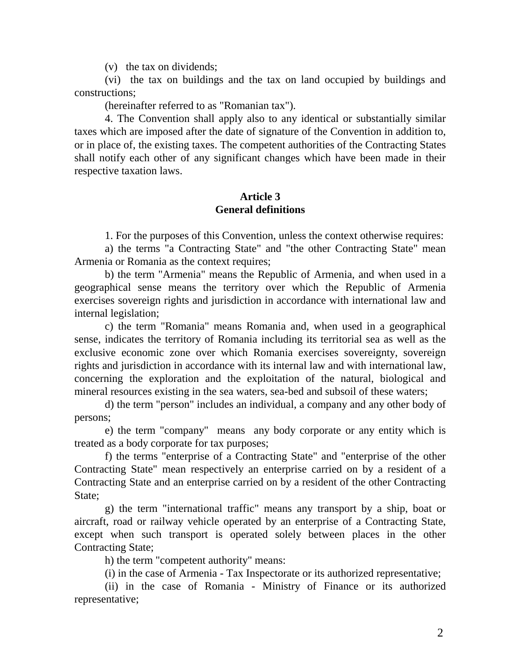(v) the tax on dividends;

(vi) the tax on buildings and the tax on land occupied by buildings and constructions;

(hereinafter referred to as "Romanian tax").

4. The Convention shall apply also to any identical or substantially similar taxes which are imposed after the date of signature of the Convention in addition to, or in place of, the existing taxes. The competent authorities of the Contracting States shall notify each other of any significant changes which have been made in their respective taxation laws.

#### **Article 3 General definitions**

1. For the purposes of this Convention, unless the context otherwise requires:

a) the terms "a Contracting State" and "the other Contracting State" mean Armenia or Romania as the context requires;

b) the term "Armenia" means the Republic of Armenia, and when used in a geographical sense means the territory over which the Republic of Armenia exercises sovereign rights and jurisdiction in accordance with international law and internal legislation;

c) the term "Romania" means Romania and, when used in a geographical sense, indicates the territory of Romania including its territorial sea as well as the exclusive economic zone over which Romania exercises sovereignty, sovereign rights and jurisdiction in accordance with its internal law and with international law, concerning the exploration and the exploitation of the natural, biological and mineral resources existing in the sea waters, sea-bed and subsoil of these waters;

d) the term "person" includes an individual, a company and any other body of persons;

e) the term "company" means any body corporate or any entity which is treated as a body corporate for tax purposes;

 f) the terms "enterprise of a Contracting State" and "enterprise of the other Contracting State" mean respectively an enterprise carried on by a resident of a Contracting State and an enterprise carried on by a resident of the other Contracting State;

g) the term "international traffic" means any transport by a ship, boat or aircraft, road or railway vehicle operated by an enterprise of a Contracting State, except when such transport is operated solely between places in the other Contracting State;

h) the term "competent authority" means:

(i) in the case of Armenia - Tax Inspectorate or its authorized representative;

(ii) in the case of Romania - Ministry of Finance or its authorized representative;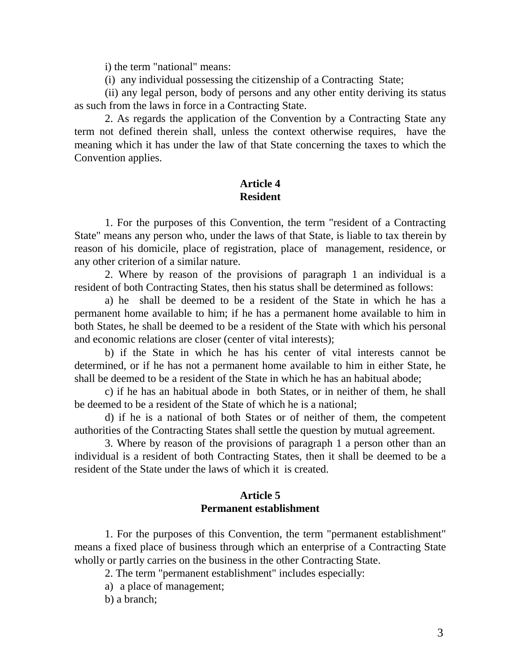i) the term "national" means:

(i) any individual possessing the citizenship of a Contracting State;

(ii) any legal person, body of persons and any other entity deriving its status as such from the laws in force in a Contracting State.

2. As regards the application of the Convention by a Contracting State any term not defined therein shall, unless the context otherwise requires, have the meaning which it has under the law of that State concerning the taxes to which the Convention applies.

### **Article 4 Resident**

1. For the purposes of this Convention, the term "resident of a Contracting State" means any person who, under the laws of that State, is liable to tax therein by reason of his domicile, place of registration, place of management, residence, or any other criterion of a similar nature.

2. Where by reason of the provisions of paragraph 1 an individual is a resident of both Contracting States, then his status shall be determined as follows:

a) he shall be deemed to be a resident of the State in which he has a permanent home available to him; if he has a permanent home available to him in both States, he shall be deemed to be a resident of the State with which his personal and economic relations are closer (center of vital interests);

b) if the State in which he has his center of vital interests cannot be determined, or if he has not a permanent home available to him in either State, he shall be deemed to be a resident of the State in which he has an habitual abode;

c) if he has an habitual abode in both States, or in neither of them, he shall be deemed to be a resident of the State of which he is a national;

d) if he is a national of both States or of neither of them, the competent authorities of the Contracting States shall settle the question by mutual agreement.

3. Where by reason of the provisions of paragraph 1 a person other than an individual is a resident of both Contracting States, then it shall be deemed to be a resident of the State under the laws of which it is created.

### **Article 5 Permanent establishment**

1. For the purposes of this Convention, the term "permanent establishment" means a fixed place of business through which an enterprise of a Contracting State wholly or partly carries on the business in the other Contracting State.

2. The term "permanent establishment" includes especially:

a) a place of management;

b) a branch;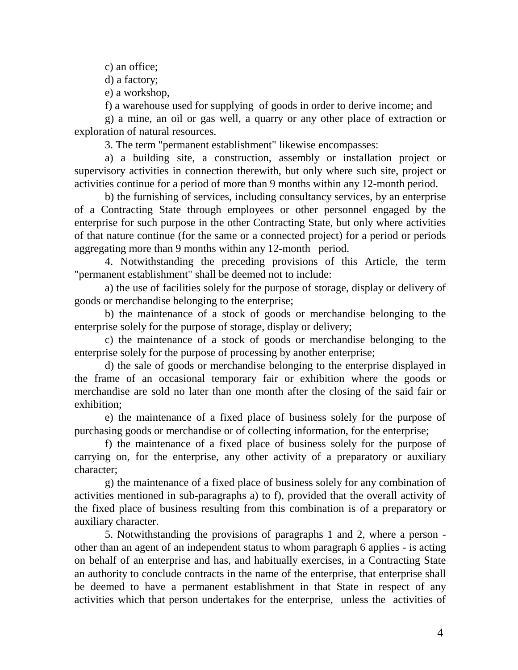c) an office;

d) a factory;

e) a workshop,

f) a warehouse used for supplying of goods in order to derive income; and

g) a mine, an oil or gas well, a quarry or any other place of extraction or exploration of natural resources.

3. The term "permanent establishment" likewise encompasses:

a) a building site, a construction, assembly or installation project or supervisory activities in connection therewith, but only where such site, project or activities continue for a period of more than 9 months within any 12-month period.

b) the furnishing of services, including consultancy services, by an enterprise of a Contracting State through employees or other personnel engaged by the enterprise for such purpose in the other Contracting State, but only where activities of that nature continue (for the same or a connected project) for a period or periods aggregating more than 9 months within any 12-month period.

4. Notwithstanding the preceding provisions of this Article, the term "permanent establishment" shall be deemed not to include:

a) the use of facilities solely for the purpose of storage, display or delivery of goods or merchandise belonging to the enterprise;

b) the maintenance of a stock of goods or merchandise belonging to the enterprise solely for the purpose of storage, display or delivery;

c) the maintenance of a stock of goods or merchandise belonging to the enterprise solely for the purpose of processing by another enterprise;

d) the sale of goods or merchandise belonging to the enterprise displayed in the frame of an occasional temporary fair or exhibition where the goods or merchandise are sold no later than one month after the closing of the said fair or exhibition;

e) the maintenance of a fixed place of business solely for the purpose of purchasing goods or merchandise or of collecting information, for the enterprise;

f) the maintenance of a fixed place of business solely for the purpose of carrying on, for the enterprise, any other activity of a preparatory or auxiliary character;

g) the maintenance of a fixed place of business solely for any combination of activities mentioned in sub-paragraphs a) to f), provided that the overall activity of the fixed place of business resulting from this combination is of a preparatory or auxiliary character.

5. Notwithstanding the provisions of paragraphs 1 and 2, where a person other than an agent of an independent status to whom paragraph 6 applies - is acting on behalf of an enterprise and has, and habitually exercises, in a Contracting State an authority to conclude contracts in the name of the enterprise, that enterprise shall be deemed to have a permanent establishment in that State in respect of any activities which that person undertakes for the enterprise, unless the activities of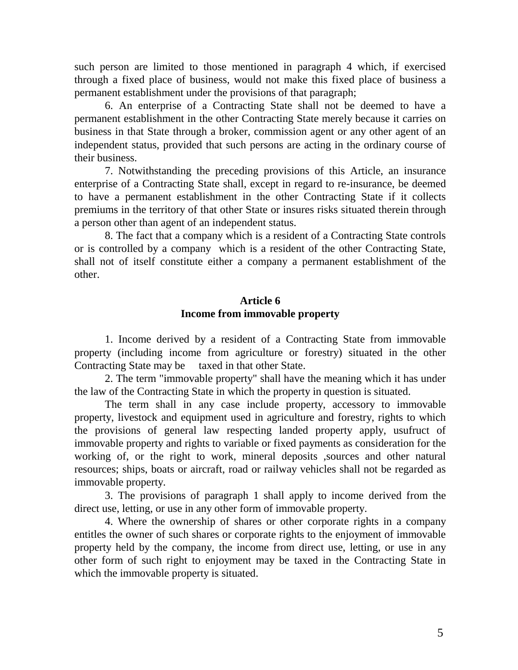such person are limited to those mentioned in paragraph 4 which, if exercised through a fixed place of business, would not make this fixed place of business a permanent establishment under the provisions of that paragraph;

6. An enterprise of a Contracting State shall not be deemed to have a permanent establishment in the other Contracting State merely because it carries on business in that State through a broker, commission agent or any other agent of an independent status, provided that such persons are acting in the ordinary course of their business.

7. Notwithstanding the preceding provisions of this Article, an insurance enterprise of a Contracting State shall, except in regard to re-insurance, be deemed to have a permanent establishment in the other Contracting State if it collects premiums in the territory of that other State or insures risks situated therein through a person other than agent of an independent status.

8. The fact that a company which is a resident of a Contracting State controls or is controlled by a company which is a resident of the other Contracting State, shall not of itself constitute either a company a permanent establishment of the other.

### **Article 6 Income from immovable property**

1. Income derived by a resident of a Contracting State from immovable property (including income from agriculture or forestry) situated in the other Contracting State may be taxed in that other State.

2. The term "immovable property" shall have the meaning which it has under the law of the Contracting State in which the property in question is situated.

The term shall in any case include property, accessory to immovable property, livestock and equipment used in agriculture and forestry, rights to which the provisions of general law respecting landed property apply, usufruct of immovable property and rights to variable or fixed payments as consideration for the working of, or the right to work, mineral deposits , sources and other natural resources; ships, boats or aircraft, road or railway vehicles shall not be regarded as immovable property.

3. The provisions of paragraph 1 shall apply to income derived from the direct use, letting, or use in any other form of immovable property.

4. Where the ownership of shares or other corporate rights in a company entitles the owner of such shares or corporate rights to the enjoyment of immovable property held by the company, the income from direct use, letting, or use in any other form of such right to enjoyment may be taxed in the Contracting State in which the immovable property is situated.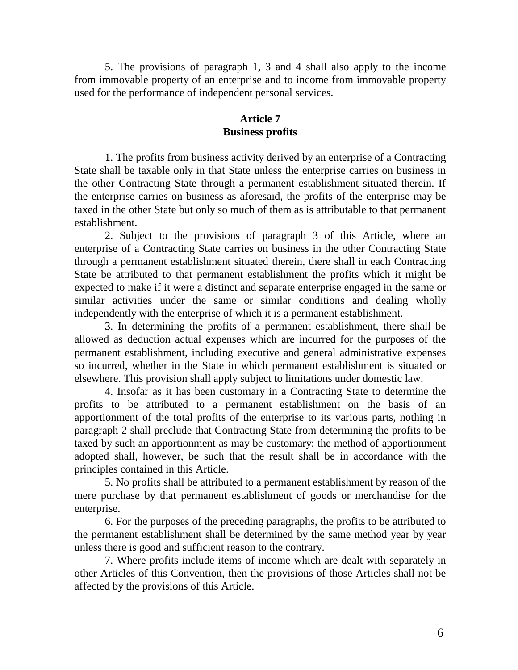5. The provisions of paragraph 1, 3 and 4 shall also apply to the income from immovable property of an enterprise and to income from immovable property used for the performance of independent personal services.

# **Article 7 Business profits**

1. The profits from business activity derived by an enterprise of a Contracting State shall be taxable only in that State unless the enterprise carries on business in the other Contracting State through a permanent establishment situated therein. If the enterprise carries on business as aforesaid, the profits of the enterprise may be taxed in the other State but only so much of them as is attributable to that permanent establishment.

2. Subject to the provisions of paragraph 3 of this Article, where an enterprise of a Contracting State carries on business in the other Contracting State through a permanent establishment situated therein, there shall in each Contracting State be attributed to that permanent establishment the profits which it might be expected to make if it were a distinct and separate enterprise engaged in the same or similar activities under the same or similar conditions and dealing wholly independently with the enterprise of which it is a permanent establishment.

3. In determining the profits of a permanent establishment, there shall be allowed as deduction actual expenses which are incurred for the purposes of the permanent establishment, including executive and general administrative expenses so incurred, whether in the State in which permanent establishment is situated or elsewhere. This provision shall apply subject to limitations under domestic law.

4. Insofar as it has been customary in a Contracting State to determine the profits to be attributed to a permanent establishment on the basis of an apportionment of the total profits of the enterprise to its various parts, nothing in paragraph 2 shall preclude that Contracting State from determining the profits to be taxed by such an apportionment as may be customary; the method of apportionment adopted shall, however, be such that the result shall be in accordance with the principles contained in this Article.

5. No profits shall be attributed to a permanent establishment by reason of the mere purchase by that permanent establishment of goods or merchandise for the enterprise.

6. For the purposes of the preceding paragraphs, the profits to be attributed to the permanent establishment shall be determined by the same method year by year unless there is good and sufficient reason to the contrary.

7. Where profits include items of income which are dealt with separately in other Articles of this Convention, then the provisions of those Articles shall not be affected by the provisions of this Article.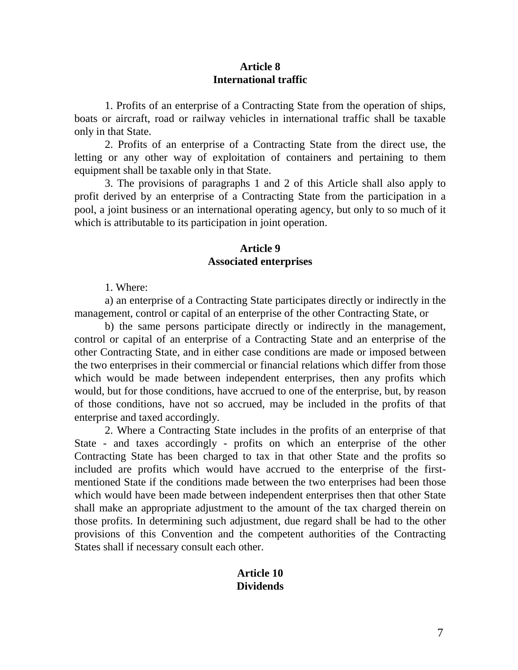### **Article 8 International traffic**

1. Profits of an enterprise of a Contracting State from the operation of ships, boats or aircraft, road or railway vehicles in international traffic shall be taxable only in that State.

2. Profits of an enterprise of a Contracting State from the direct use, the letting or any other way of exploitation of containers and pertaining to them equipment shall be taxable only in that State.

3. The provisions of paragraphs 1 and 2 of this Article shall also apply to profit derived by an enterprise of a Contracting State from the participation in a pool, a joint business or an international operating agency, but only to so much of it which is attributable to its participation in joint operation.

#### **Article 9 Associated enterprises**

1. Where:

a) an enterprise of a Contracting State participates directly or indirectly in the management, control or capital of an enterprise of the other Contracting State, or

b) the same persons participate directly or indirectly in the management, control or capital of an enterprise of a Contracting State and an enterprise of the other Contracting State, and in either case conditions are made or imposed between the two enterprises in their commercial or financial relations which differ from those which would be made between independent enterprises, then any profits which would, but for those conditions, have accrued to one of the enterprise, but, by reason of those conditions, have not so accrued, may be included in the profits of that enterprise and taxed accordingly.

2. Where a Contracting State includes in the profits of an enterprise of that State - and taxes accordingly - profits on which an enterprise of the other Contracting State has been charged to tax in that other State and the profits so included are profits which would have accrued to the enterprise of the firstmentioned State if the conditions made between the two enterprises had been those which would have been made between independent enterprises then that other State shall make an appropriate adjustment to the amount of the tax charged therein on those profits. In determining such adjustment, due regard shall be had to the other provisions of this Convention and the competent authorities of the Contracting States shall if necessary consult each other.

### **Article 10 Dividends**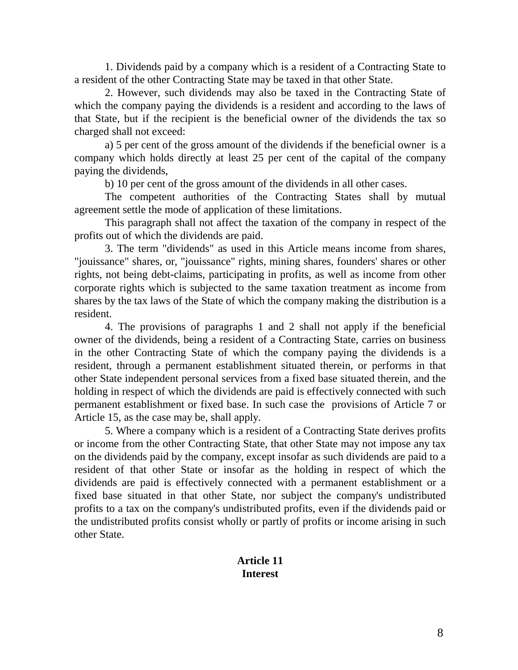1. Dividends paid by a company which is a resident of a Contracting State to a resident of the other Contracting State may be taxed in that other State.

2. However, such dividends may also be taxed in the Contracting State of which the company paying the dividends is a resident and according to the laws of that State, but if the recipient is the beneficial owner of the dividends the tax so charged shall not exceed:

a) 5 per cent of the gross amount of the dividends if the beneficial owner is a company which holds directly at least 25 per cent of the capital of the company paying the dividends,

b) 10 per cent of the gross amount of the dividends in all other cases.

The competent authorities of the Contracting States shall by mutual agreement settle the mode of application of these limitations.

This paragraph shall not affect the taxation of the company in respect of the profits out of which the dividends are paid.

3. The term "dividends" as used in this Article means income from shares, "jouissance" shares, or, "jouissance" rights, mining shares, founders' shares or other rights, not being debt-claims, participating in profits, as well as income from other corporate rights which is subjected to the same taxation treatment as income from shares by the tax laws of the State of which the company making the distribution is a resident.

4. The provisions of paragraphs 1 and 2 shall not apply if the beneficial owner of the dividends, being a resident of a Contracting State, carries on business in the other Contracting State of which the company paying the dividends is a resident, through a permanent establishment situated therein, or performs in that other State independent personal services from a fixed base situated therein, and the holding in respect of which the dividends are paid is effectively connected with such permanent establishment or fixed base. In such case the provisions of Article 7 or Article 15, as the case may be, shall apply.

5. Where a company which is a resident of a Contracting State derives profits or income from the other Contracting State, that other State may not impose any tax on the dividends paid by the company, except insofar as such dividends are paid to a resident of that other State or insofar as the holding in respect of which the dividends are paid is effectively connected with a permanent establishment or a fixed base situated in that other State, nor subject the company's undistributed profits to a tax on the company's undistributed profits, even if the dividends paid or the undistributed profits consist wholly or partly of profits or income arising in such other State.

# **Article 11 Interest**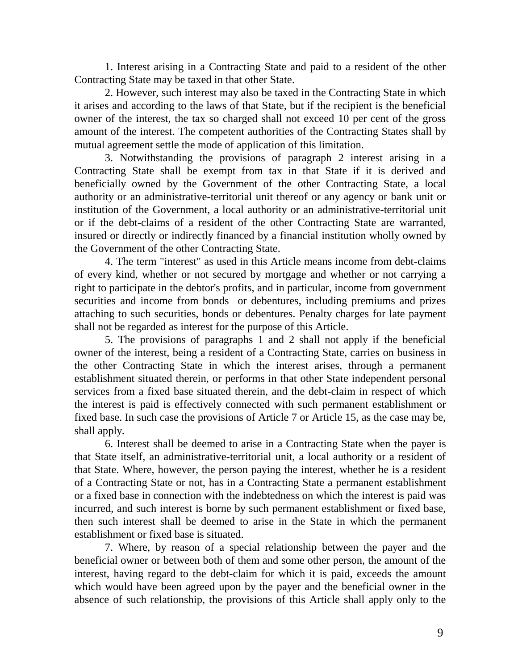1. Interest arising in a Contracting State and paid to a resident of the other Contracting State may be taxed in that other State.

2. However, such interest may also be taxed in the Contracting State in which it arises and according to the laws of that State, but if the recipient is the beneficial owner of the interest, the tax so charged shall not exceed 10 per cent of the gross amount of the interest. The competent authorities of the Contracting States shall by mutual agreement settle the mode of application of this limitation.

3. Notwithstanding the provisions of paragraph 2 interest arising in a Contracting State shall be exempt from tax in that State if it is derived and beneficially owned by the Government of the other Contracting State, a local authority or an administrative-territorial unit thereof or any agency or bank unit or institution of the Government, a local authority or an administrative-territorial unit or if the debt-claims of a resident of the other Contracting State are warranted, insured or directly or indirectly financed by a financial institution wholly owned by the Government of the other Contracting State.

4. The term "interest" as used in this Article means income from debt-claims of every kind, whether or not secured by mortgage and whether or not carrying a right to participate in the debtor's profits, and in particular, income from government securities and income from bonds or debentures, including premiums and prizes attaching to such securities, bonds or debentures. Penalty charges for late payment shall not be regarded as interest for the purpose of this Article.

5. The provisions of paragraphs 1 and 2 shall not apply if the beneficial owner of the interest, being a resident of a Contracting State, carries on business in the other Contracting State in which the interest arises, through a permanent establishment situated therein, or performs in that other State independent personal services from a fixed base situated therein, and the debt-claim in respect of which the interest is paid is effectively connected with such permanent establishment or fixed base. In such case the provisions of Article 7 or Article 15, as the case may be, shall apply.

6. Interest shall be deemed to arise in a Contracting State when the payer is that State itself, an administrative-territorial unit, a local authority or a resident of that State. Where, however, the person paying the interest, whether he is a resident of a Contracting State or not, has in a Contracting State a permanent establishment or a fixed base in connection with the indebtedness on which the interest is paid was incurred, and such interest is borne by such permanent establishment or fixed base, then such interest shall be deemed to arise in the State in which the permanent establishment or fixed base is situated.

7. Where, by reason of a special relationship between the payer and the beneficial owner or between both of them and some other person, the amount of the interest, having regard to the debt-claim for which it is paid, exceeds the amount which would have been agreed upon by the payer and the beneficial owner in the absence of such relationship, the provisions of this Article shall apply only to the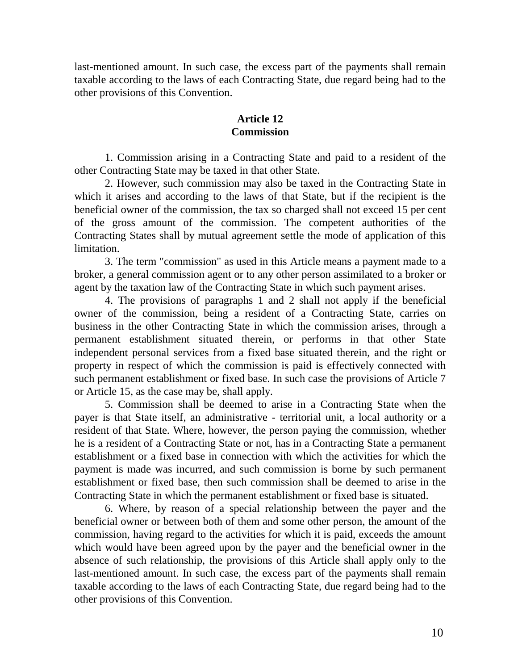last-mentioned amount. In such case, the excess part of the payments shall remain taxable according to the laws of each Contracting State, due regard being had to the other provisions of this Convention.

## **Article 12 Commission**

1. Commission arising in a Contracting State and paid to a resident of the other Contracting State may be taxed in that other State.

2. However, such commission may also be taxed in the Contracting State in which it arises and according to the laws of that State, but if the recipient is the beneficial owner of the commission, the tax so charged shall not exceed 15 per cent of the gross amount of the commission. The competent authorities of the Contracting States shall by mutual agreement settle the mode of application of this limitation.

3. The term "commission" as used in this Article means a payment made to a broker, a general commission agent or to any other person assimilated to a broker or agent by the taxation law of the Contracting State in which such payment arises.

4. The provisions of paragraphs 1 and 2 shall not apply if the beneficial owner of the commission, being a resident of a Contracting State, carries on business in the other Contracting State in which the commission arises, through a permanent establishment situated therein, or performs in that other State independent personal services from a fixed base situated therein, and the right or property in respect of which the commission is paid is effectively connected with such permanent establishment or fixed base. In such case the provisions of Article 7 or Article 15, as the case may be, shall apply.

5. Commission shall be deemed to arise in a Contracting State when the payer is that State itself, an administrative - territorial unit, a local authority or a resident of that State. Where, however, the person paying the commission, whether he is a resident of a Contracting State or not, has in a Contracting State a permanent establishment or a fixed base in connection with which the activities for which the payment is made was incurred, and such commission is borne by such permanent establishment or fixed base, then such commission shall be deemed to arise in the Contracting State in which the permanent establishment or fixed base is situated.

6. Where, by reason of a special relationship between the payer and the beneficial owner or between both of them and some other person, the amount of the commission, having regard to the activities for which it is paid, exceeds the amount which would have been agreed upon by the payer and the beneficial owner in the absence of such relationship, the provisions of this Article shall apply only to the last-mentioned amount. In such case, the excess part of the payments shall remain taxable according to the laws of each Contracting State, due regard being had to the other provisions of this Convention.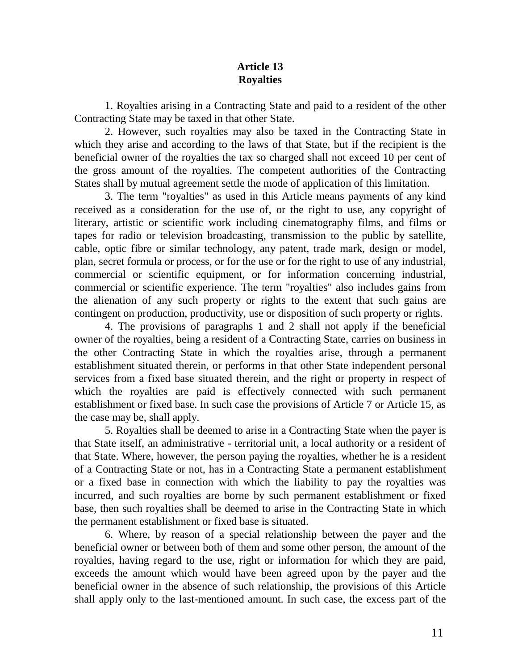# **Article 13 Royalties**

1. Royalties arising in a Contracting State and paid to a resident of the other Contracting State may be taxed in that other State.

2. However, such royalties may also be taxed in the Contracting State in which they arise and according to the laws of that State, but if the recipient is the beneficial owner of the royalties the tax so charged shall not exceed 10 per cent of the gross amount of the royalties. The competent authorities of the Contracting States shall by mutual agreement settle the mode of application of this limitation.

3. The term "royalties" as used in this Article means payments of any kind received as a consideration for the use of, or the right to use, any copyright of literary, artistic or scientific work including cinematography films, and films or tapes for radio or television broadcasting, transmission to the public by satellite, cable, optic fibre or similar technology, any patent, trade mark, design or model, plan, secret formula or process, or for the use or for the right to use of any industrial, commercial or scientific equipment, or for information concerning industrial, commercial or scientific experience. The term "royalties" also includes gains from the alienation of any such property or rights to the extent that such gains are contingent on production, productivity, use or disposition of such property or rights.

4. The provisions of paragraphs 1 and 2 shall not apply if the beneficial owner of the royalties, being a resident of a Contracting State, carries on business in the other Contracting State in which the royalties arise, through a permanent establishment situated therein, or performs in that other State independent personal services from a fixed base situated therein, and the right or property in respect of which the royalties are paid is effectively connected with such permanent establishment or fixed base. In such case the provisions of Article 7 or Article 15, as the case may be, shall apply.

5. Royalties shall be deemed to arise in a Contracting State when the payer is that State itself, an administrative - territorial unit, a local authority or a resident of that State. Where, however, the person paying the royalties, whether he is a resident of a Contracting State or not, has in a Contracting State a permanent establishment or a fixed base in connection with which the liability to pay the royalties was incurred, and such royalties are borne by such permanent establishment or fixed base, then such royalties shall be deemed to arise in the Contracting State in which the permanent establishment or fixed base is situated.

6. Where, by reason of a special relationship between the payer and the beneficial owner or between both of them and some other person, the amount of the royalties, having regard to the use, right or information for which they are paid, exceeds the amount which would have been agreed upon by the payer and the beneficial owner in the absence of such relationship, the provisions of this Article shall apply only to the last-mentioned amount. In such case, the excess part of the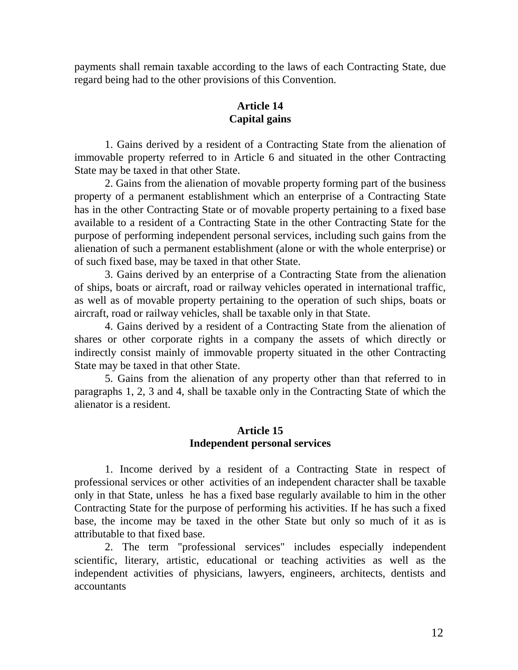payments shall remain taxable according to the laws of each Contracting State, due regard being had to the other provisions of this Convention.

# **Article 14 Capital gains**

1. Gains derived by a resident of a Contracting State from the alienation of immovable property referred to in Article 6 and situated in the other Contracting State may be taxed in that other State.

2. Gains from the alienation of movable property forming part of the business property of a permanent establishment which an enterprise of a Contracting State has in the other Contracting State or of movable property pertaining to a fixed base available to a resident of a Contracting State in the other Contracting State for the purpose of performing independent personal services, including such gains from the alienation of such a permanent establishment (alone or with the whole enterprise) or of such fixed base, may be taxed in that other State.

3. Gains derived by an enterprise of a Contracting State from the alienation of ships, boats or aircraft, road or railway vehicles operated in international traffic, as well as of movable property pertaining to the operation of such ships, boats or aircraft, road or railway vehicles, shall be taxable only in that State.

4. Gains derived by a resident of a Contracting State from the alienation of shares or other corporate rights in a company the assets of which directly or indirectly consist mainly of immovable property situated in the other Contracting State may be taxed in that other State.

5. Gains from the alienation of any property other than that referred to in paragraphs 1, 2, 3 and 4, shall be taxable only in the Contracting State of which the alienator is a resident.

## **Article 15 Independent personal services**

1. Income derived by a resident of a Contracting State in respect of professional services or other activities of an independent character shall be taxable only in that State, unless he has a fixed base regularly available to him in the other Contracting State for the purpose of performing his activities. If he has such a fixed base, the income may be taxed in the other State but only so much of it as is attributable to that fixed base.

2. The term "professional services" includes especially independent scientific, literary, artistic, educational or teaching activities as well as the independent activities of physicians, lawyers, engineers, architects, dentists and accountants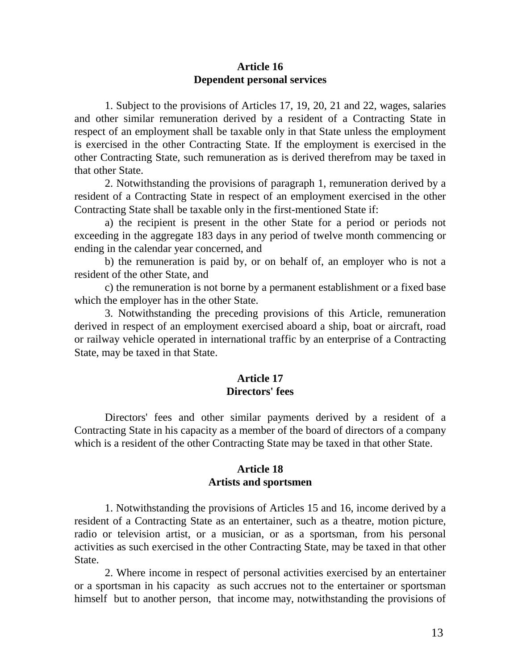### **Article 16 Dependent personal services**

1. Subject to the provisions of Articles 17, 19, 20, 21 and 22, wages, salaries and other similar remuneration derived by a resident of a Contracting State in respect of an employment shall be taxable only in that State unless the employment is exercised in the other Contracting State. If the employment is exercised in the other Contracting State, such remuneration as is derived therefrom may be taxed in that other State.

2. Notwithstanding the provisions of paragraph 1, remuneration derived by a resident of a Contracting State in respect of an employment exercised in the other Contracting State shall be taxable only in the first-mentioned State if:

a) the recipient is present in the other State for a period or periods not exceeding in the aggregate 183 days in any period of twelve month commencing or ending in the calendar year concerned, and

b) the remuneration is paid by, or on behalf of, an employer who is not a resident of the other State, and

c) the remuneration is not borne by a permanent establishment or a fixed base which the employer has in the other State.

3. Notwithstanding the preceding provisions of this Article, remuneration derived in respect of an employment exercised aboard a ship, boat or aircraft, road or railway vehicle operated in international traffic by an enterprise of a Contracting State, may be taxed in that State.

## **Article 17 Directors' fees**

Directors' fees and other similar payments derived by a resident of a Contracting State in his capacity as a member of the board of directors of a company which is a resident of the other Contracting State may be taxed in that other State.

#### **Article 18 Artists and sportsmen**

1. Notwithstanding the provisions of Articles 15 and 16, income derived by a resident of a Contracting State as an entertainer, such as a theatre, motion picture, radio or television artist, or a musician, or as a sportsman, from his personal activities as such exercised in the other Contracting State, may be taxed in that other State.

2. Where income in respect of personal activities exercised by an entertainer or a sportsman in his capacity as such accrues not to the entertainer or sportsman himself but to another person, that income may, notwithstanding the provisions of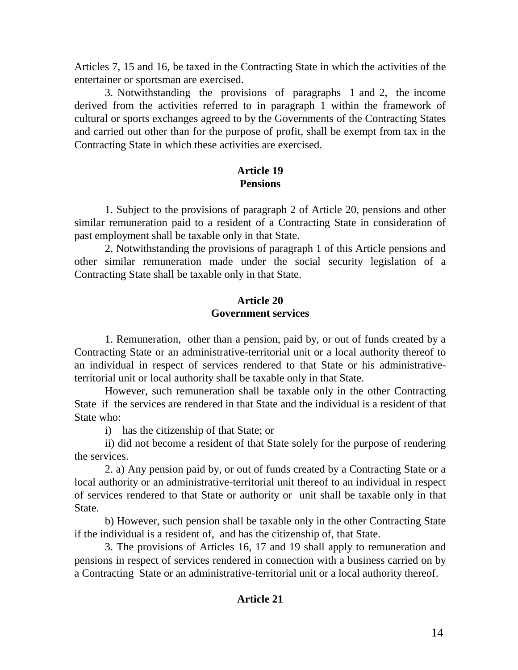Articles 7, 15 and 16, be taxed in the Contracting State in which the activities of the entertainer or sportsman are exercised.

3. Notwithstanding the provisions of paragraphs 1 and 2, the income derived from the activities referred to in paragraph 1 within the framework of cultural or sports exchanges agreed to by the Governments of the Contracting States and carried out other than for the purpose of profit, shall be exempt from tax in the Contracting State in which these activities are exercised.

# **Article 19 Pensions**

1. Subject to the provisions of paragraph 2 of Article 20, pensions and other similar remuneration paid to a resident of a Contracting State in consideration of past employment shall be taxable only in that State.

2. Notwithstanding the provisions of paragraph 1 of this Article pensions and other similar remuneration made under the social security legislation of a Contracting State shall be taxable only in that State.

## **Article 20 Government services**

1. Remuneration, other than a pension, paid by, or out of funds created by a Contracting State or an administrative-territorial unit or a local authority thereof to an individual in respect of services rendered to that State or his administrativeterritorial unit or local authority shall be taxable only in that State.

However, such remuneration shall be taxable only in the other Contracting State if the services are rendered in that State and the individual is a resident of that State who:

i) has the citizenship of that State; or

ii) did not become a resident of that State solely for the purpose of rendering the services.

2. a) Any pension paid by, or out of funds created by a Contracting State or a local authority or an administrative-territorial unit thereof to an individual in respect of services rendered to that State or authority or unit shall be taxable only in that State.

b) However, such pension shall be taxable only in the other Contracting State if the individual is a resident of, and has the citizenship of, that State.

3. The provisions of Articles 16, 17 and 19 shall apply to remuneration and pensions in respect of services rendered in connection with a business carried on by a Contracting State or an administrative-territorial unit or a local authority thereof.

# **Article 21**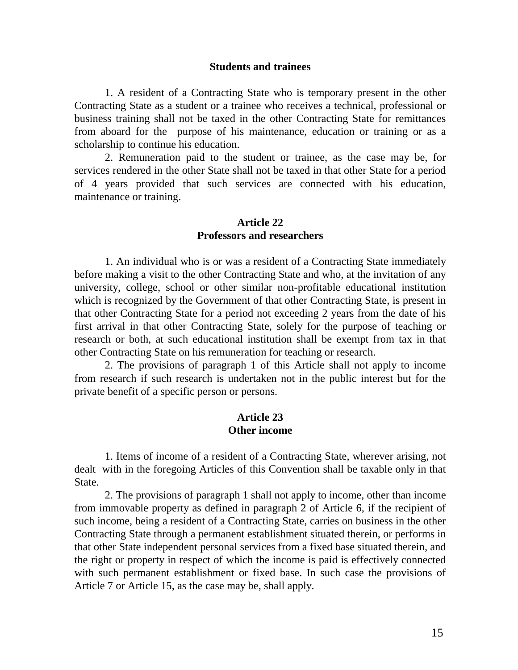#### **Students and trainees**

1. A resident of a Contracting State who is temporary present in the other Contracting State as a student or a trainee who receives a technical, professional or business training shall not be taxed in the other Contracting State for remittances from aboard for the purpose of his maintenance, education or training or as a scholarship to continue his education.

2. Remuneration paid to the student or trainee, as the case may be, for services rendered in the other State shall not be taxed in that other State for a period of 4 years provided that such services are connected with his education, maintenance or training.

#### **Article 22 Professors and researchers**

1. An individual who is or was a resident of a Contracting State immediately before making a visit to the other Contracting State and who, at the invitation of any university, college, school or other similar non-profitable educational institution which is recognized by the Government of that other Contracting State, is present in that other Contracting State for a period not exceeding 2 years from the date of his first arrival in that other Contracting State, solely for the purpose of teaching or research or both, at such educational institution shall be exempt from tax in that other Contracting State on his remuneration for teaching or research.

2. The provisions of paragraph 1 of this Article shall not apply to income from research if such research is undertaken not in the public interest but for the private benefit of a specific person or persons.

### **Article 23 Other income**

1. Items of income of a resident of a Contracting State, wherever arising, not dealt with in the foregoing Articles of this Convention shall be taxable only in that State.

2. The provisions of paragraph 1 shall not apply to income, other than income from immovable property as defined in paragraph 2 of Article 6, if the recipient of such income, being a resident of a Contracting State, carries on business in the other Contracting State through a permanent establishment situated therein, or performs in that other State independent personal services from a fixed base situated therein, and the right or property in respect of which the income is paid is effectively connected with such permanent establishment or fixed base. In such case the provisions of Article 7 or Article 15, as the case may be, shall apply.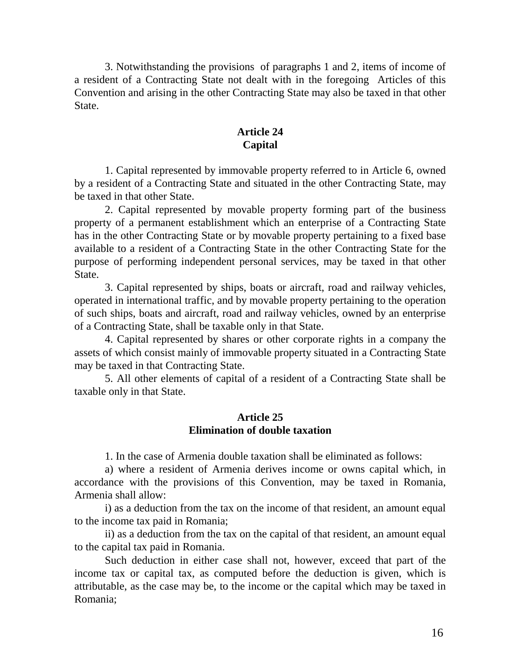3. Notwithstanding the provisions of paragraphs 1 and 2, items of income of a resident of a Contracting State not dealt with in the foregoing Articles of this Convention and arising in the other Contracting State may also be taxed in that other State.

## **Article 24 Capital**

1. Capital represented by immovable property referred to in Article 6, owned by a resident of a Contracting State and situated in the other Contracting State, may be taxed in that other State.

2. Capital represented by movable property forming part of the business property of a permanent establishment which an enterprise of a Contracting State has in the other Contracting State or by movable property pertaining to a fixed base available to a resident of a Contracting State in the other Contracting State for the purpose of performing independent personal services, may be taxed in that other State.

3. Capital represented by ships, boats or aircraft, road and railway vehicles, operated in international traffic, and by movable property pertaining to the operation of such ships, boats and aircraft, road and railway vehicles, owned by an enterprise of a Contracting State, shall be taxable only in that State.

4. Capital represented by shares or other corporate rights in a company the assets of which consist mainly of immovable property situated in a Contracting State may be taxed in that Contracting State.

5. All other elements of capital of a resident of a Contracting State shall be taxable only in that State.

## **Article 25 Elimination of double taxation**

1. In the case of Armenia double taxation shall be eliminated as follows:

a) where a resident of Armenia derives income or owns capital which, in accordance with the provisions of this Convention, may be taxed in Romania, Armenia shall allow:

i) as a deduction from the tax on the income of that resident, an amount equal to the income tax paid in Romania;

ii) as a deduction from the tax on the capital of that resident, an amount equal to the capital tax paid in Romania.

Such deduction in either case shall not, however, exceed that part of the income tax or capital tax, as computed before the deduction is given, which is attributable, as the case may be, to the income or the capital which may be taxed in Romania;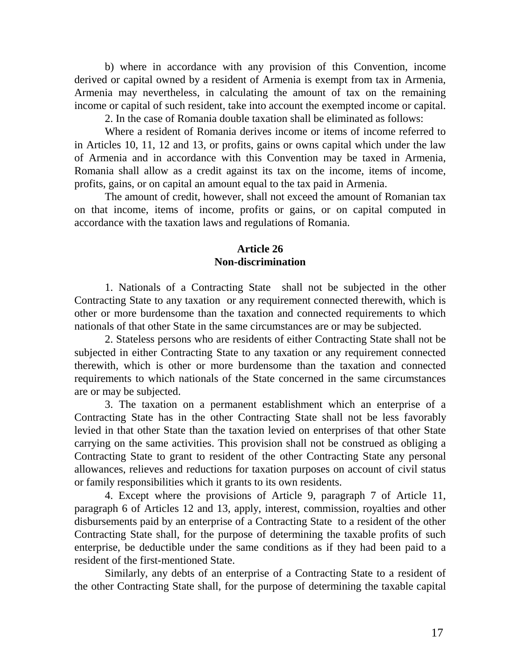b) where in accordance with any provision of this Convention, income derived or capital owned by a resident of Armenia is exempt from tax in Armenia, Armenia may nevertheless, in calculating the amount of tax on the remaining income or capital of such resident, take into account the exempted income or capital.

2. In the case of Romania double taxation shall be eliminated as follows:

Where a resident of Romania derives income or items of income referred to in Articles 10, 11, 12 and 13, or profits, gains or owns capital which under the law of Armenia and in accordance with this Convention may be taxed in Armenia, Romania shall allow as a credit against its tax on the income, items of income, profits, gains, or on capital an amount equal to the tax paid in Armenia.

The amount of credit, however, shall not exceed the amount of Romanian tax on that income, items of income, profits or gains, or on capital computed in accordance with the taxation laws and regulations of Romania.

### **Article 26 Non-discrimination**

1. Nationals of a Contracting State shall not be subjected in the other Contracting State to any taxation or any requirement connected therewith, which is other or more burdensome than the taxation and connected requirements to which nationals of that other State in the same circumstances are or may be subjected.

2. Stateless persons who are residents of either Contracting State shall not be subjected in either Contracting State to any taxation or any requirement connected therewith, which is other or more burdensome than the taxation and connected requirements to which nationals of the State concerned in the same circumstances are or may be subjected.

3. The taxation on a permanent establishment which an enterprise of a Contracting State has in the other Contracting State shall not be less favorably levied in that other State than the taxation levied on enterprises of that other State carrying on the same activities. This provision shall not be construed as obliging a Contracting State to grant to resident of the other Contracting State any personal allowances, relieves and reductions for taxation purposes on account of civil status or family responsibilities which it grants to its own residents.

4. Except where the provisions of Article 9, paragraph 7 of Article 11, paragraph 6 of Articles 12 and 13, apply, interest, commission, royalties and other disbursements paid by an enterprise of a Contracting State to a resident of the other Contracting State shall, for the purpose of determining the taxable profits of such enterprise, be deductible under the same conditions as if they had been paid to a resident of the first-mentioned State.

Similarly, any debts of an enterprise of a Contracting State to a resident of the other Contracting State shall, for the purpose of determining the taxable capital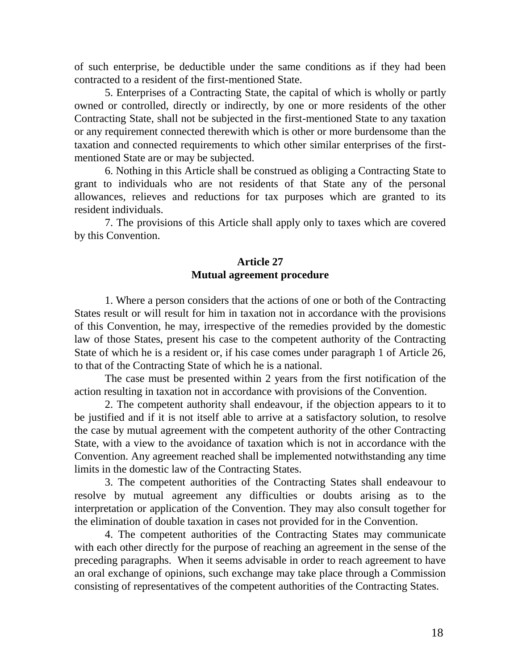of such enterprise, be deductible under the same conditions as if they had been contracted to a resident of the first-mentioned State.

5. Enterprises of a Contracting State, the capital of which is wholly or partly owned or controlled, directly or indirectly, by one or more residents of the other Contracting State, shall not be subjected in the first-mentioned State to any taxation or any requirement connected therewith which is other or more burdensome than the taxation and connected requirements to which other similar enterprises of the firstmentioned State are or may be subjected.

6. Nothing in this Article shall be construed as obliging a Contracting State to grant to individuals who are not residents of that State any of the personal allowances, relieves and reductions for tax purposes which are granted to its resident individuals.

7. The provisions of this Article shall apply only to taxes which are covered by this Convention.

### **Article 27 Mutual agreement procedure**

1. Where a person considers that the actions of one or both of the Contracting States result or will result for him in taxation not in accordance with the provisions of this Convention, he may, irrespective of the remedies provided by the domestic law of those States, present his case to the competent authority of the Contracting State of which he is a resident or, if his case comes under paragraph 1 of Article 26, to that of the Contracting State of which he is a national.

The case must be presented within 2 years from the first notification of the action resulting in taxation not in accordance with provisions of the Convention.

2. The competent authority shall endeavour, if the objection appears to it to be justified and if it is not itself able to arrive at a satisfactory solution, to resolve the case by mutual agreement with the competent authority of the other Contracting State, with a view to the avoidance of taxation which is not in accordance with the Convention. Any agreement reached shall be implemented notwithstanding any time limits in the domestic law of the Contracting States.

3. The competent authorities of the Contracting States shall endeavour to resolve by mutual agreement any difficulties or doubts arising as to the interpretation or application of the Convention. They may also consult together for the elimination of double taxation in cases not provided for in the Convention.

4. The competent authorities of the Contracting States may communicate with each other directly for the purpose of reaching an agreement in the sense of the preceding paragraphs. When it seems advisable in order to reach agreement to have an oral exchange of opinions, such exchange may take place through a Commission consisting of representatives of the competent authorities of the Contracting States.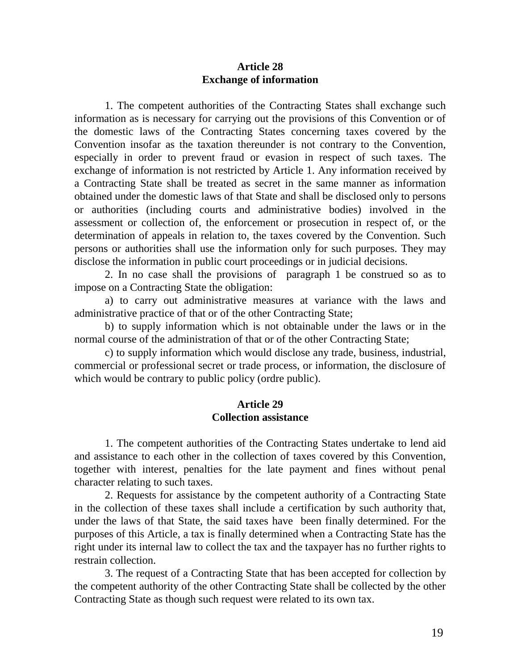### **Article 28 Exchange of information**

1. The competent authorities of the Contracting States shall exchange such information as is necessary for carrying out the provisions of this Convention or of the domestic laws of the Contracting States concerning taxes covered by the Convention insofar as the taxation thereunder is not contrary to the Convention, especially in order to prevent fraud or evasion in respect of such taxes. The exchange of information is not restricted by Article 1. Any information received by a Contracting State shall be treated as secret in the same manner as information obtained under the domestic laws of that State and shall be disclosed only to persons or authorities (including courts and administrative bodies) involved in the assessment or collection of, the enforcement or prosecution in respect of, or the determination of appeals in relation to, the taxes covered by the Convention. Such persons or authorities shall use the information only for such purposes. They may disclose the information in public court proceedings or in judicial decisions.

2. In no case shall the provisions of paragraph 1 be construed so as to impose on a Contracting State the obligation:

a) to carry out administrative measures at variance with the laws and administrative practice of that or of the other Contracting State;

b) to supply information which is not obtainable under the laws or in the normal course of the administration of that or of the other Contracting State;

c) to supply information which would disclose any trade, business, industrial, commercial or professional secret or trade process, or information, the disclosure of which would be contrary to public policy (ordre public).

#### **Article 29 Collection assistance**

1. The competent authorities of the Contracting States undertake to lend aid and assistance to each other in the collection of taxes covered by this Convention, together with interest, penalties for the late payment and fines without penal character relating to such taxes.

2. Requests for assistance by the competent authority of a Contracting State in the collection of these taxes shall include a certification by such authority that, under the laws of that State, the said taxes have been finally determined. For the purposes of this Article, a tax is finally determined when a Contracting State has the right under its internal law to collect the tax and the taxpayer has no further rights to restrain collection.

3. The request of a Contracting State that has been accepted for collection by the competent authority of the other Contracting State shall be collected by the other Contracting State as though such request were related to its own tax.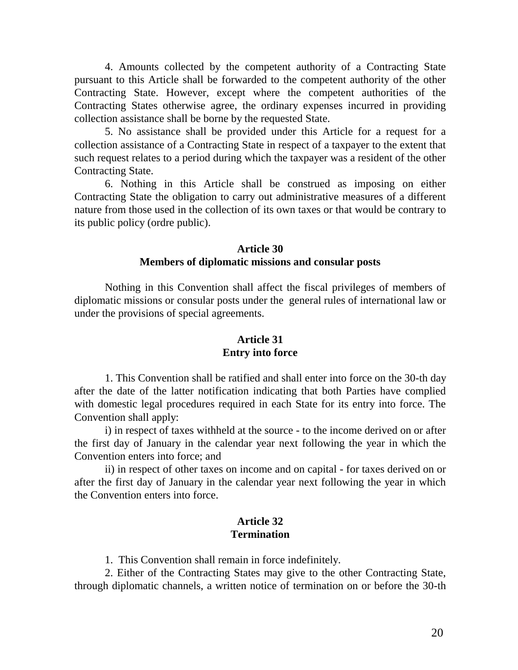4. Amounts collected by the competent authority of a Contracting State pursuant to this Article shall be forwarded to the competent authority of the other Contracting State. However, except where the competent authorities of the Contracting States otherwise agree, the ordinary expenses incurred in providing collection assistance shall be borne by the requested State.

5. No assistance shall be provided under this Article for a request for a collection assistance of a Contracting State in respect of a taxpayer to the extent that such request relates to a period during which the taxpayer was a resident of the other Contracting State.

6. Nothing in this Article shall be construed as imposing on either Contracting State the obligation to carry out administrative measures of a different nature from those used in the collection of its own taxes or that would be contrary to its public policy (ordre public).

## **Article 30 Members of diplomatic missions and consular posts**

Nothing in this Convention shall affect the fiscal privileges of members of diplomatic missions or consular posts under the general rules of international law or under the provisions of special agreements.

## **Article 31 Entry into force**

1. This Convention shall be ratified and shall enter into force on the 30-th day after the date of the latter notification indicating that both Parties have complied with domestic legal procedures required in each State for its entry into force. The Convention shall apply:

i) in respect of taxes withheld at the source - to the income derived on or after the first day of January in the calendar year next following the year in which the Convention enters into force; and

ii) in respect of other taxes on income and on capital - for taxes derived on or after the first day of January in the calendar year next following the year in which the Convention enters into force.

#### **Article 32 Termination**

1. This Convention shall remain in force indefinitely.

2. Either of the Contracting States may give to the other Contracting State, through diplomatic channels, a written notice of termination on or before the 30-th